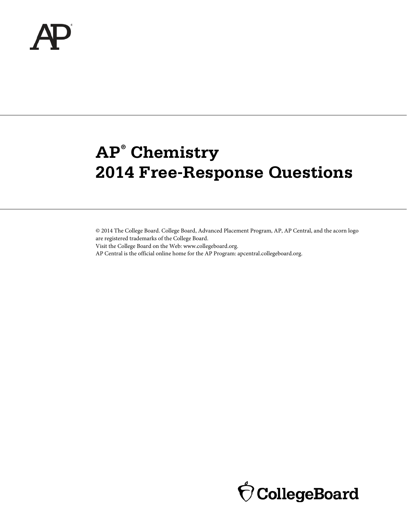# **AP® Chemistry 2014 Free-Response Questions**

© 2014 The College Board. College Board, Advanced Placement Program, AP, AP Central, and the acorn logo are registered trademarks of the College Board.

Visit the College Board on the Web: www.collegeboard.org.

AP Central is the official online home for the AP Program: apcentral.collegeboard.org.

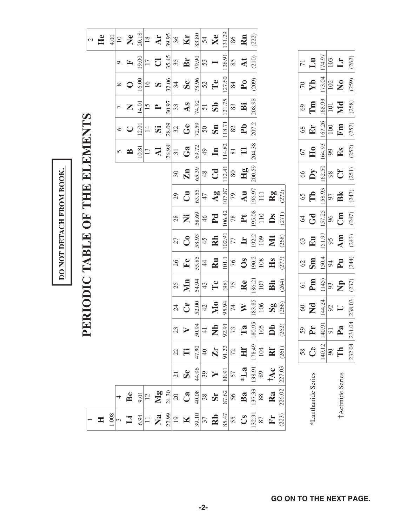|                           |                        |                            |                    | $\overline{\mathbf{p}}$     | <b>ERIODIC TABLE</b>      |                         |                |              | UF<br>O                 |                        |               | THE ELEMENTS            |                |                  |                       |                       | $\overline{\mathcal{L}}$ |
|---------------------------|------------------------|----------------------------|--------------------|-----------------------------|---------------------------|-------------------------|----------------|--------------|-------------------------|------------------------|---------------|-------------------------|----------------|------------------|-----------------------|-----------------------|--------------------------|
| H                         |                        |                            |                    |                             |                           |                         |                |              |                         |                        |               |                         |                |                  |                       |                       | He                       |
| 1.008                     |                        |                            |                    |                             |                           |                         |                |              |                         |                        |               |                         |                |                  |                       |                       | 4.00                     |
|                           | 4                      |                            |                    |                             |                           |                         |                |              |                         |                        |               | 5                       | $\circ$        |                  | $\infty$              | $\circ$               | $\overline{10}$          |
| $\Xi$                     | Be                     |                            |                    |                             |                           |                         |                |              |                         |                        |               | $\mathbf{p}$            | $\bigcup$      | Z                | $\circ$               | $\mathbf{r}$          | $\mathbb{Z}$             |
| 6.94                      | 9.01                   |                            |                    |                             |                           |                         |                |              |                         |                        |               | 10.81                   | 12.01          | 14.01            | 16.00                 | 19.00                 | 20.18                    |
| $\Box$                    | $\overline{12}$        |                            |                    |                             |                           |                         |                |              |                         |                        |               | 13                      | $\overline{4}$ | 15               | $\overline{16}$       | $\overline{17}$       | $\frac{8}{18}$           |
| $\mathbf{z}$              | $\mathbf{M}\mathbf{g}$ |                            |                    |                             |                           |                         |                |              |                         |                        |               | $\overline{\mathbf{z}}$ | 5              | $\blacktriangle$ | $\boldsymbol{\Omega}$ | $\overline{\bigcirc}$ | Ar                       |
| 22.99                     | 24.30                  |                            |                    |                             |                           |                         |                |              |                         |                        |               | 26.98                   | 28.09          | 30.97            | 32.06                 | 35.45                 | 39.95                    |
| 19                        | $20\,$                 | $\overline{21}$            | 22                 | 23                          | 24                        | 25                      | 26             | 27           | 28                      | 29                     | 30            | $\sqrt{31}$             | 32             | 33               | 34                    | 35                    | 36                       |
| $\blacksquare$            | $\mathbf{C}$ a         | $\mathbf{S}$               | Ë                  |                             | $\mathbf{C}$              | $\sum_{i=1}^{n}$        | $\mathbf{F}$ e | $\mathbf{C}$ | Ż                       | $\mathbf{C}$           | $\mathbf{Zn}$ | Ga                      | $G$ e          | As               | Se                    | Br                    | Kr                       |
| 39.10                     | 40.08                  | 44.96                      | 47.90              | 50.94                       | 52.00                     | 54.94                   | 55.85          | 58.93        | 58.69                   | 63.55                  | 65.39         | 69.72                   | 72.59          | 74.92            | 78.96                 | 79.90                 | 83.80                    |
| $\overline{\mathcal{E}}$  | $38\,$                 | 39                         | $\Theta$           | $\frac{1}{4}$               | 42                        | 43                      | $\frac{4}{4}$  | 45           | 46                      | $47$                   | 48            | 49                      | 50             | $\overline{5}$   | $\overline{52}$       | 53                    | 54                       |
| Rb                        | Sr                     |                            | $\mathbf{Z}$ r     | $\frac{1}{2}$ $\frac{1}{2}$ | M <sub>0</sub>            | $\mathbf{T} \mathbf{c}$ | Ru             | Rh           | P <sub>d</sub>          | $\mathbf{A}\mathbf{g}$ | Cd            | $\mathbf{u}$            | Sn             | $\mathbf{S}$     | Te                    |                       | Xe                       |
| 85.47                     | 87.62                  | 88.91                      |                    |                             | 95.94                     | (98)                    | 101.1          | 102.91       | 106.42                  | 107.87                 | 112.41        | 114.82                  | 118.71         | 121.75           | 127.60                | 126.91                | 131.29                   |
| 55                        | 56                     | 57                         | $\frac{91.22}{72}$ |                             | $\overline{7}$            | 75                      | 76             | 77           | 78                      | 79                     | 80            | $\overline{8}$          | 82             | 83               | 84                    | 85                    | 86                       |
| $\mathbf{C}_{\mathbf{S}}$ | Ba                     | $\ast\mathbf{L}\mathbf{a}$ | H                  | $\Gamma$ a                  | $\geq$                    | Re                      | $\mathbf{S}$   | $\mathbf{H}$ | $\mathbf{P} \mathbf{t}$ | Au                     | Hg            | $\Box$                  | P <sub>b</sub> | Ä                | P <sub>0</sub>        | $\Delta t$            | <b>Rn</b>                |
| [32.9]                    | 137.33                 | 138.91                     | 178.49             | 180.95                      | 183.85                    | 186.21                  | 190.2          | 192.2        | 195.08                  | 196.97                 | 200.59        | 204.38                  | 207.2          | 208.98           | (209)                 | (210)                 | (222)                    |
| $87\,$                    | 88                     | 89                         | 104                | 105                         | 106                       | 107                     | 108            | 109          | $110$                   | $\Xi$                  |               |                         |                |                  |                       |                       |                          |
| $\mathbf{F}$ r            | Ra                     | $\frac{1}{2}$              | Rf                 | pp                          | $\mathbf{S}_{\mathbf{S}}$ | Bh                      | Hs             | NIt          | Ds                      | Rg                     |               |                         |                |                  |                       |                       |                          |
| (223)                     | 226.02                 | 227.03                     | (261)              | (262)                       | (266)                     | (264)                   | (277)          | (268)        | (271)                   | (272)                  |               |                         |                |                  |                       |                       |                          |
|                           |                        |                            |                    |                             |                           |                         |                |              |                         |                        |               |                         |                |                  |                       |                       |                          |
|                           |                        |                            | 58                 | 59                          | $60\,$                    | $\overline{61}$         | 62             | 63           | 64                      | 65                     | 66            | 67                      | 68             | 69               | $\sqrt{2}$            | $\overline{71}$       |                          |
|                           | *Lanthanide Series     |                            | $\mathbf{C}$ e     | $\mathbf{F}$                | $\overline{\mathbf{X}}$   | Pm                      | Sm             | Eu           | Gd                      | Tb                     | Dy            | H <sub>0</sub>          | Er             | Tm               | Yb                    | $\mathbf{L}$          |                          |
|                           |                        |                            | 140.12             | 140.91                      | 144.24                    | (145)                   | 150.4          | 151.97       | 157.25                  | 158.93                 | 162.50        | 164.93                  | 167.26         | 168.93           | 173.04                | 174.97                |                          |
|                           |                        |                            | $90\,$             | $\overline{91}$             | 92                        | 93                      | $94$           | 66           | $96$                    | 97                     | $\,98$        | $66$                    | 100            | 101              | 102                   | 103                   |                          |
|                           | †Actinide Series       |                            | Th                 | $P_{a}$                     | $\Box$                    | $\mathbf{p}$            | $P_{\rm U}$    | Am           | Cm                      | Bk                     | Cf            | $E_{\rm S}$             | Fm             | Md               | $\mathbf{S}$          | $\mathbf{L}$          |                          |
|                           |                        |                            | 232.04 231.04      |                             | 238.03                    | (237)                   | (244)          | (243)        | (247)                   | (247)                  | (251)         | (252)                   | (257)          | (258)            | (259)                 | (262)                 |                          |

DO NOT DETACH FROM BOOK.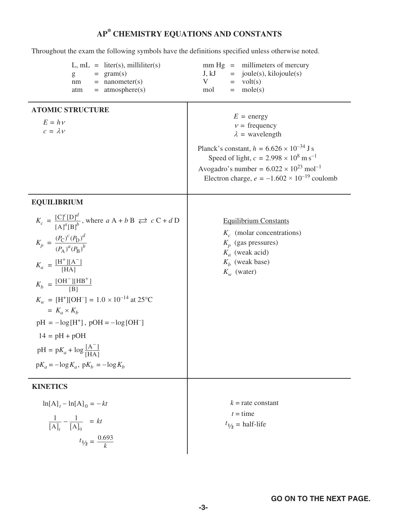# **AP¥ CHEMISTRY EQUATIONS AND CONSTANTS**

Throughout the exam the following symbols have the definitions specified unless otherwise noted.

| $L, mL = liter(s), milliliter(s)$<br>$= \text{gram(s)}$<br>g<br>$=$ nanometer(s)<br>nm<br>$=$ atmosphere(s)<br>atm                                                                                                                                                                                                                                                                                                                                                                                            | $mm Hg = millimeters of mercury$<br>$=$ joule(s), kilojoule(s)<br>J, kJ<br>V<br>$=$ volt(s)<br>$=$ mole(s)<br>mol                                                                                                                                                                                           |
|---------------------------------------------------------------------------------------------------------------------------------------------------------------------------------------------------------------------------------------------------------------------------------------------------------------------------------------------------------------------------------------------------------------------------------------------------------------------------------------------------------------|-------------------------------------------------------------------------------------------------------------------------------------------------------------------------------------------------------------------------------------------------------------------------------------------------------------|
| <b>ATOMIC STRUCTURE</b><br>$E = h \nu$<br>$c = \lambda v$                                                                                                                                                                                                                                                                                                                                                                                                                                                     | $E = energy$<br>$v = \text{frequency}$<br>$\lambda$ = wavelength<br>Planck's constant, $h = 6.626 \times 10^{-34}$ J s<br>Speed of light, $c = 2.998 \times 10^8 \text{ m s}^{-1}$<br>Avogadro's number = $6.022 \times 10^{23}$ mol <sup>-1</sup><br>Electron charge, $e = -1.602 \times 10^{-19}$ coulomb |
| <b>EQUILIBRIUM</b><br>$K_c = \frac{[C]^c[D]^d}{[A]^a[B]^b}$ , where $aA + bB \rightleftarrows cC + dD$<br>$K_p = \frac{(P_\text{C})^c (P_\text{D})^d}{(P_\text{A})^a (P_\text{B})^b}$<br>$K_a = \frac{[H^+][A^-]}{[HA]}$<br>$K_b = \frac{\text{[OH}^- \text{][HB}^+]}{\text{[B1]}}$<br>$K_w = [H^+][OH^-] = 1.0 \times 10^{-14}$ at 25°C<br>$= K_a \times K_b$<br>$pH = -log[H^+]$ , $pOH = -log[OH^-]$<br>$14 = pH + pOH$<br>$pH = pK_a + log \frac{[A^-]}{[HA]}$<br>$pK_a = -\log K_a$ , $pK_b = -\log K_b$ | <b>Equilibrium Constants</b><br>$K_c$ (molar concentrations)<br>$K_p$ (gas pressures)<br>$K_a$ (weak acid)<br>$K_h$ (weak base)<br>$K_w$ (water)                                                                                                                                                            |
| <b>KINETICS</b><br>$\ln[A]_t - \ln[A]_0 = -kt$<br>$\frac{1}{[A]_t} - \frac{1}{[A]_0} = kt$<br>$t_{1/2} = \frac{0.693}{k}$                                                                                                                                                                                                                                                                                                                                                                                     | $k =$ rate constant<br>$t =$ time<br>$t_{1/2}$ = half-life                                                                                                                                                                                                                                                  |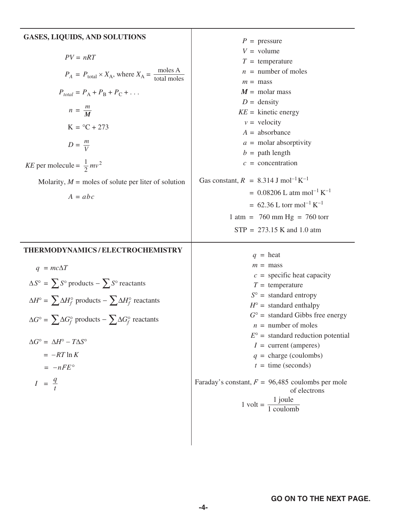#### **GASES, LIQUIDS, AND SOLUTIONS**  $PV = nRT$  $P_A = P_{total} \times X_A$ , where  $X_A = \frac{\text{moles A}}{\text{total moles}}$  $P_{total} = P_A + P_B + P_C + ...$  $n = \frac{m}{M}$  $K = {}^{\circ}C + 273$  $D = \frac{m}{V}$ *KE* per molecule =  $\frac{1}{2}mv^2$ Molarity,  $M =$  moles of solute per liter of solution  $A = abc$  $P =$  pressure  $V =$  volume *T* = temperature  $n =$  number of moles  $m =$  mass  $M = \text{molar mass}$  $D =$  density  $KE =$  kinetic energy  $v =$  velocity *A* = absorbance *a* = molar absorptivity  $b =$  path length *c* = concentration Gas constant,  $R = 8.314$  J mol<sup>-1</sup>K<sup>-1</sup>  $= 0.08206$  L atm mol<sup>-1</sup> K<sup>-1</sup>  $= 62.36$  L torr mol<sup>-1</sup> K<sup>-1</sup> 1 atm =  $760 \text{ mm Hg} = 760 \text{ torr}$  $STP = 273.15$  K and 1.0 atm **THERMODYNAMICS / ELECTROCHEMISTRY**   $q = mc\Delta T$  $\Delta S^{\circ}$  =  $\sum S^{\circ}$  products -  $\sum S^{\circ}$  reactants  $\Delta H^{\circ}$  =  $\sum \Delta H_f^{\circ}$  products –  $\sum \Delta H_f^{\circ}$  reactants  $\Delta G^{\circ}$  =  $\sum \Delta G_f^{\circ}$  products  $-\sum \Delta G_f^{\circ}$  reactants ∆*G*° = ∆*H*° − *T*∆*S*°  $= -RT \ln K$  $= -nFE^{\circ}$  $I = \frac{q}{t}$  $q =$  heat  $m =$  mass  $c =$  specific heat capacity  $T =$  temperature  $S^{\circ}$  = standard entropy  $H^{\circ}$  = standard enthalpy  $G^{\circ}$  = standard Gibbs free energy  $n =$  number of moles  $E^{\circ}$  = standard reduction potential  $I =$  current (amperes)  $q =$  charge (coulombs)  $t =$  time (seconds) Faraday's constant,  $F = 96,485$  coulombs per mole of electrons 1 volt =  $\frac{1 \text{ joule}}{1 \text{ coulomb}}$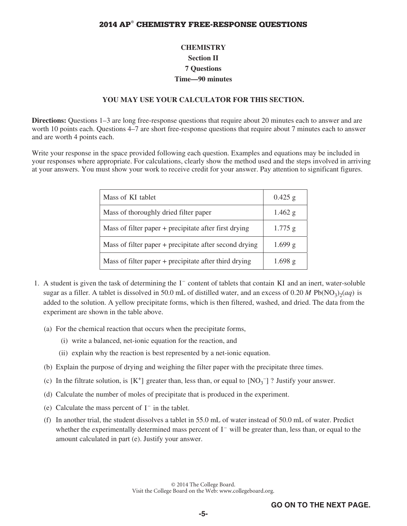# **CHEMISTRY Section II 7 Questions Time—90 minutes**

#### **YOU MAY USE YOUR CALCULATOR FOR THIS SECTION.**

**Directions:** Questions 1–3 are long free-response questions that require about 20 minutes each to answer and are worth 10 points each. Questions 4–7 are short free-response questions that require about 7 minutes each to answer and are worth 4 points each.

Write your response in the space provided following each question. Examples and equations may be included in your responses where appropriate. For calculations, clearly show the method used and the steps involved in arriving at your answers. You must show your work to receive credit for your answer. Pay attention to significant figures.

| Mass of KI tablet                                       | $0.425$ g |
|---------------------------------------------------------|-----------|
| Mass of thoroughly dried filter paper                   | $1.462$ g |
| Mass of filter paper + precipitate after first drying   | $1.775$ g |
| Mass of filter paper + precipitate after second drying  | $1.699$ g |
| Mass of filter paper $+$ precipitate after third drying | $1.698$ g |

- 1. A student is given the task of determining the I<sup>−</sup> content of tablets that contain KI and an inert, water-soluble sugar as a filler. A tablet is dissolved in 50.0 mL of distilled water, and an excess of  $0.20 M Pb(NO<sub>3</sub>)<sub>2</sub>(aq)$  is added to the solution. A yellow precipitate forms, which is then filtered, washed, and dried. The data from the experiment are shown in the table above.
	- (a) For the chemical reaction that occurs when the precipitate forms,
		- (i) write a balanced, net-ionic equation for the reaction, and
		- (ii) explain why the reaction is best represented by a net-ionic equation.
	- (b) Explain the purpose of drying and weighing the filter paper with the precipitate three times.
	- (c) In the filtrate solution, is  $[K^+]$  greater than, less than, or equal to  $[NO_3^-]$ ? Justify your answer.
	- (d) Calculate the number of moles of precipitate that is produced in the experiment.
	- (e) Calculate the mass percent of I<sup>−</sup> in the tablet.
	- (f) In another trial, the student dissolves a tablet in 55.0 mL of water instead of 50.0 mL of water. Predict whether the experimentally determined mass percent of I<sup>−</sup> will be greater than, less than, or equal to the amount calculated in part (e). Justify your answer.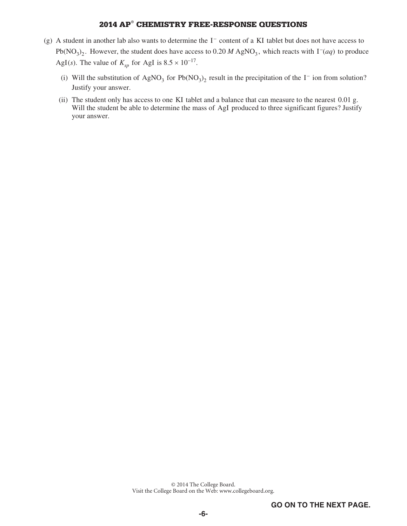- (g) A student in another lab also wants to determine the I<sup>−</sup> content of a KI tablet but does not have access to Pb(NO<sub>3</sub>)<sub>2</sub>. However, the student does have access to 0.20 *M* AgNO<sub>3</sub>, which reacts with I<sup>−</sup>(*aq*) to produce AgI(*s*). The value of  $K_{sp}$  for AgI is 8.5 × 10<sup>-17</sup>.
	- (i) Will the substitution of AgNO<sub>3</sub> for Pb(NO<sub>3</sub>)<sub>2</sub> result in the precipitation of the I<sup>-</sup> ion from solution? Justify your answer.
	- (ii) The student only has access to one KI tablet and a balance that can measure to the nearest 0.01 g. Will the student be able to determine the mass of AgI produced to three significant figures? Justify your answer.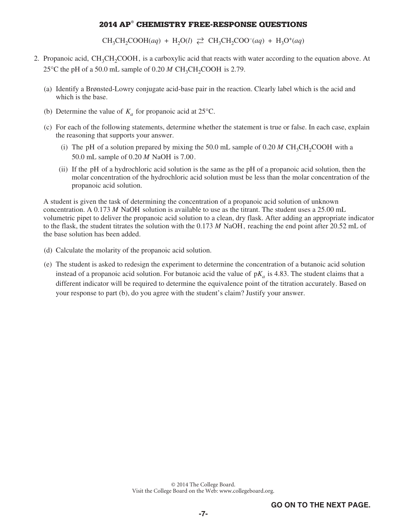$CH_3CH_2COOH(aq) + H_2O(l) \ncong CH_3CH_2COO^-(aq) + H_3O^+(aq)$ 

- 2. Propanoic acid, CH<sub>3</sub>CH<sub>2</sub>COOH, is a carboxylic acid that reacts with water according to the equation above. At 25 $\degree$ C the pH of a 50.0 mL sample of 0.20 *M* CH<sub>3</sub>CH<sub>2</sub>COOH is 2.79.
	- (a) Identify a Brønsted-Lowry conjugate acid-base pair in the reaction. Clearly label which is the acid and which is the base.
	- (b) Determine the value of  $K_a$  for propanoic acid at 25<sup>o</sup>C.
	- (c) For each of the following statements, determine whether the statement is true or false. In each case, explain the reasoning that supports your answer.
		- (i) The pH of a solution prepared by mixing the 50.0 mL sample of  $0.20 M CH<sub>3</sub>CH<sub>2</sub>COOH$  with a 50.0 mL sample of 0.20 *M* NaOH is 7.00.
		- (ii) If the pH of a hydrochloric acid solution is the same as the pH of a propanoic acid solution, then the molar concentration of the hydrochloric acid solution must be less than the molar concentration of the propanoic acid solution.

 A student is given the task of determining the concentration of a propanoic acid solution of unknown concentration. A 0.173 *M* NaOH solution is available to use as the titrant. The student uses a 25.00 mL volumetric pipet to deliver the propanoic acid solution to a clean, dry flask. After adding an appropriate indicator to the flask, the student titrates the solution with the 0.173 *M* NaOH, reaching the end point after 20.52 mL of the base solution has been added.

- (d) Calculate the molarity of the propanoic acid solution.
- (e) The student is asked to redesign the experiment to determine the concentration of a butanoic acid solution instead of a propanoic acid solution. For butanoic acid the value of  $pK_a$  is 4.83. The student claims that a different indicator will be required to determine the equivalence point of the titration accurately. Based on your response to part (b), do you agree with the student's claim? Justify your answer.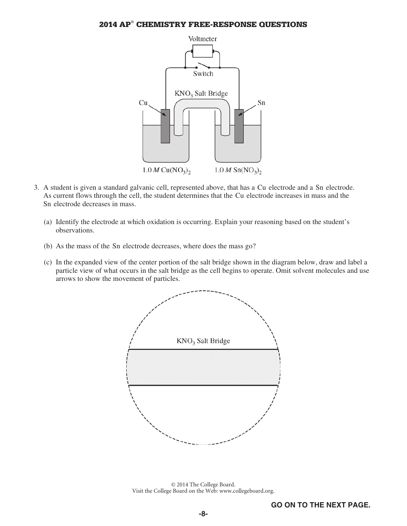

- 3. A student is given a standard galvanic cell, represented above, that has a Cu electrode and a Sn electrode. As current flows through the cell, the student determines that the Cu electrode increases in mass and the Sn electrode decreases in mass.
	- (a) Identify the electrode at which oxidation is occurring. Explain your reasoning based on the student's observations.
	- (b) As the mass of the Sn electrode decreases, where does the mass go?
	- (c) In the expanded view of the center portion of the salt bridge shown in the diagram below, draw and label a particle view of what occurs in the salt bridge as the cell begins to operate. Omit solvent molecules and use arrows to show the movement of particles.

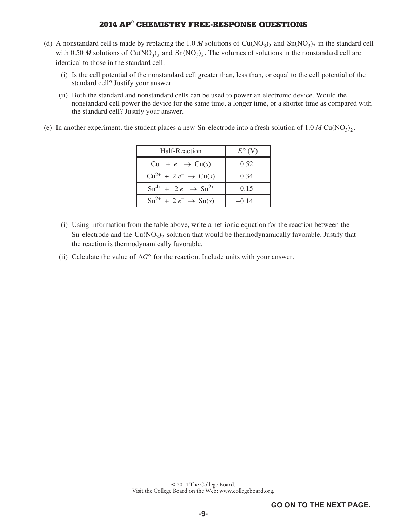- (d) A nonstandard cell is made by replacing the 1.0 *M* solutions of  $Cu(NO<sub>3</sub>)<sub>2</sub>$  and  $Sn(NO<sub>3</sub>)<sub>2</sub>$  in the standard cell with 0.50 *M* solutions of  $Cu(NO<sub>3</sub>)<sub>2</sub>$  and  $Sn(NO<sub>3</sub>)<sub>2</sub>$ . The volumes of solutions in the nonstandard cell are identical to those in the standard cell.
	- (i) Is the cell potential of the nonstandard cell greater than, less than, or equal to the cell potential of the standard cell? Justify your answer.
	- (ii) Both the standard and nonstandard cells can be used to power an electronic device. Would the nonstandard cell power the device for the same time, a longer time, or a shorter time as compared with the standard cell? Justify your answer.
- (e) In another experiment, the student places a new Sn electrode into a fresh solution of  $1.0 M Cu(NO<sub>3</sub>)<sub>2</sub>$ .

| Half-Reaction                                      | $E^{\circ}$ (V) |
|----------------------------------------------------|-----------------|
| $Cu^+ + e^- \rightarrow Cu(s)$                     | 0.52            |
| $Cu^{2+}$ + 2 $e^ \rightarrow$ Cu(s)               | 0.34            |
| $\text{Sn}^{4+} + 2e^- \rightarrow \text{Sn}^{2+}$ | 0.15            |
| $\text{Sn}^{2+} + 2e^- \rightarrow \text{Sn}(s)$   | $-0.14$         |

- (i) Using information from the table above, write a net-ionic equation for the reaction between the Sn electrode and the  $Cu(NO<sub>3</sub>)<sub>2</sub>$  solution that would be thermodynamically favorable. Justify that the reaction is thermodynamically favorable.
- (ii) Calculate the value of  $\Delta G^{\circ}$  for the reaction. Include units with your answer.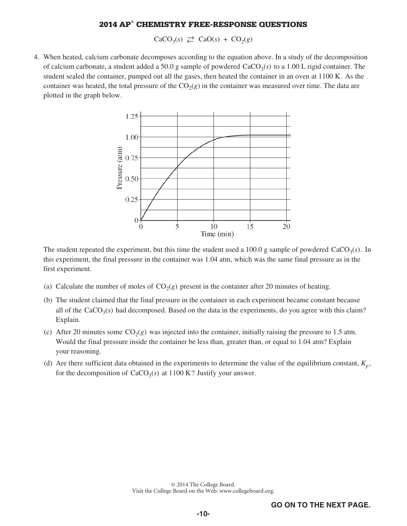$CaCO<sub>3</sub>(s) \rightleftarrows CaO(s) + CO<sub>2</sub>(g)$ 

 4. When heated, calcium carbonate decomposes according to the equation above. In a study of the decomposition of calcium carbonate, a student added a 50.0 g sample of powdered  $CaCO<sub>3</sub>(s)$  to a 1.00 L rigid container. The student sealed the container, pumped out all the gases, then heated the container in an oven at 1100 K. As the container was heated, the total pressure of the  $CO<sub>2</sub>(g)$  in the container was measured over time. The data are plotted in the graph below.



The student repeated the experiment, but this time the student used a 100.0 g sample of powdered  $CaCO<sub>3</sub>(s)$ . In this experiment, the final pressure in the container was 1.04 atm, which was the same final pressure as in the first experiment.

- (a) Calculate the number of moles of  $CO<sub>2</sub>(g)$  present in the container after 20 minutes of heating.
- (b) The student claimed that the final pressure in the container in each experiment became constant because all of the  $CaCO<sub>3</sub>(s)$  had decomposed. Based on the data in the experiments, do you agree with this claim? Explain.
- (c) After 20 minutes some  $CO<sub>2</sub>(g)$  was injected into the container, initially raising the pressure to 1.5 atm. Would the final pressure inside the container be less than, greater than, or equal to 1.04 atm? Explain your reasoning.
- (d) Are there sufficient data obtained in the experiments to determine the value of the equilibrium constant,  $K_n$ , for the decomposition of  $CaCO<sub>3</sub>(s)$  at 1100 K? Justify your answer.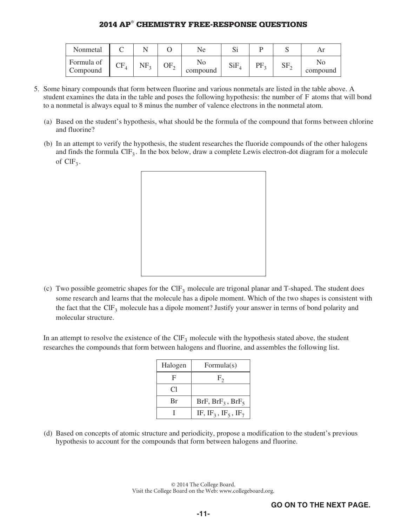| Nonmetal               |               |                 |          | Ne.            | ΩI  |    |                 |          |
|------------------------|---------------|-----------------|----------|----------------|-----|----|-----------------|----------|
| Formula of<br>Compound | ĈΕ<br>$U_{4}$ | NF <sub>2</sub> | OF,<br>∼ | Nc<br>compound | SiF | PF | SF <sub>2</sub> | compound |

- 5. Some binary compounds that form between fluorine and various nonmetals are listed in the table above. A student examines the data in the table and poses the following hypothesis: the number of F atoms that will bond to a nonmetal is always equal to 8 minus the number of valence electrons in the nonmetal atom.
	- (a) Based on the student's hypothesis, what should be the formula of the compound that forms between chlorine and fluorine?
	- (b) In an attempt to verify the hypothesis, the student researches the fluoride compounds of the other halogens and finds the formula  $CIF_3$ . In the box below, draw a complete Lewis electron-dot diagram for a molecule of  $ClF_3$ .



(c) Two possible geometric shapes for the  $CIF_3$  molecule are trigonal planar and T-shaped. The student does some research and learns that the molecule has a dipole moment. Which of the two shapes is consistent with the fact that the  $CIF_3$  molecule has a dipole moment? Justify your answer in terms of bond polarity and molecular structure.

In an attempt to resolve the existence of the  $CIF<sub>3</sub>$  molecule with the hypothesis stated above, the student researches the compounds that form between halogens and fluorine, and assembles the following list.

| Halogen | Formula $(s)$                                           |
|---------|---------------------------------------------------------|
| F       | $F_{2}$                                                 |
| Cl      |                                                         |
| Br      | BrF, $BrF_3$ , $BrF_5$                                  |
|         | IF, IF <sub>3</sub> , IF <sub>5</sub> , IF <sub>7</sub> |

(d) Based on concepts of atomic structure and periodicity, propose a modification to the student's previous hypothesis to account for the compounds that form between halogens and fluorine.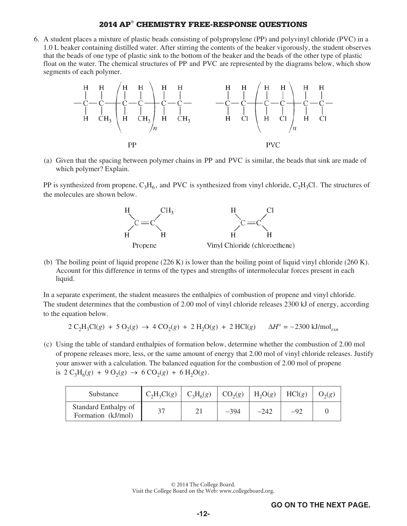6. A student places a mixture of plastic beads consisting of polypropylene (PP) and polyvinyl chloride (PVC) in a 1.0 L beaker containing distilled water. After stirring the contents of the beaker vigorously, the student observes that the beads of one type of plastic sink to the bottom of the beaker and the beads of the other type of plastic float on the water. The chemical structures of PP and PVC are represented by the diagrams below, which show segments of each polymer.



(a) Given that the spacing between polymer chains in PP and PVC is similar, the beads that sink are made of which polymer? Explain.

PP is synthesized from propene,  $C_3H_6$ , and PVC is synthesized from vinyl chloride,  $C_2H_3Cl$ . The structures of the molecules are shown below.



(b) The boiling point of liquid propene (226 K) is lower than the boiling point of liquid vinyl chloride (260 K). Account for this difference in terms of the types and strengths of intermolecular forces present in each liquid.

In a separate experiment, the student measures the enthalpies of combustion of propene and vinyl chloride. The student determines that the combustion of 2.00 mol of vinyl chloride releases 2300 kJ of energy, according to the equation below.

$$
2 C_2H_3Cl(g) + 5 O_2(g) \rightarrow 4 CO_2(g) + 2 H_2O(g) + 2 HCl(g) \qquad \Delta H^{\circ} = -2300 \text{ kJ/mol}_{rxn}
$$

(c) Using the table of standard enthalpies of formation below, determine whether the combustion of 2.00 mol of propene releases more, less, or the same amount of energy that 2.00 mol of vinyl chloride releases. Justify your answer with a calculation. The balanced equation for the combustion of 2.00 mol of propene is  $2 C_3H_6(g) + 9 O_2(g) \rightarrow 6 CO_2(g) + 6 H_2O(g)$ .

| Substance                                  | $C_2H_3Cl(g)$ | $C_3H_6(g)$ | CO <sub>2</sub> (g) | $H_2O(g)$ | HCl(g) | $O_2(g)$ |
|--------------------------------------------|---------------|-------------|---------------------|-----------|--------|----------|
| Standard Enthalpy of<br>Formation (kJ/mol) | 37            |             | $-394$              | $-242$    | $-92$  |          |